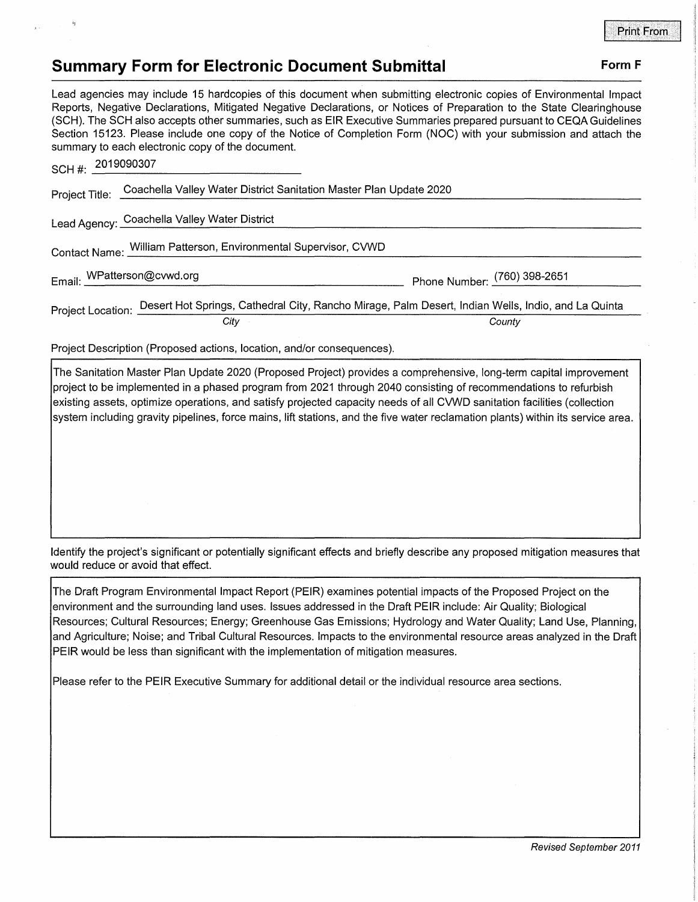## **Summary Form for Electronic Document Submittal Form F Form F**

## Lead agencies may include 15 hardcopies of this document when submitting electronic copies of Environmental Impact Reports, Negative Declarations, Mitigated Negative Declarations, or Notices of Preparation to the State Clearinghouse (SCH). The SCH also accepts other summaries, such as EIR Executive Summaries prepared pursuant to CEQA Guidelines Section 15123. Please include one copy of the Notice of Completion Form (NOC) with your submission and attach the

| SCH#: | 2019090307                                                                                                           |                              |
|-------|----------------------------------------------------------------------------------------------------------------------|------------------------------|
|       | Project Title: Coachella Valley Water District Sanitation Master Plan Update 2020                                    |                              |
|       | Lead Agency: Coachella Valley Water District                                                                         |                              |
|       | Contact Name: William Patterson, Environmental Supervisor, CVWD                                                      |                              |
|       | Email: WPatterson@cvwd.org                                                                                           | Phone Number: (760) 398-2651 |
|       | Project Location: Desert Hot Springs, Cathedral City, Rancho Mirage, Palm Desert, Indian Wells, Indio, and La Quinta |                              |
|       | City                                                                                                                 | County                       |

Project Description (Proposed actions, location, and/or consequences).

summary to each electronic copy of the document.

The Sanitation Master Plan Update 2020 (Proposed Project) provides a comprehensive, long-term capital improvement project to be implemented in a phased program from 2021 through 2040 consisting of recommendations to refurbish existing assets, optimize operations, and satisfy projected capacity needs of all CVWD sanitation facilities ( collection system including gravity pipelines, force mains, lift stations, and the five water reclamation plants) within its service area.

Identify the project's significant or potentially significant effects and briefly describe any proposed mitigation measures that would reduce or avoid that effect.

The Draft Program Environmental Impact Report (PEIR) examines potential impacts of the Proposed Project on the environment and the surrounding land uses. Issues addressed in the Draft PEIR include: Air Quality; Biological Resources; Cultural Resources; Energy; Greenhouse Gas Emissions; Hydrology and Water Quality; Land Use, Planning, and Agriculture; Noise; and Tribal Cultural Resources. Impacts to the environmental resource areas analyzed in the Draft PEIR would be less than significant with the implementation of mitigation measures.

Please refer to the PEIR Executive Summary for additional detail or the individual resource area sections.